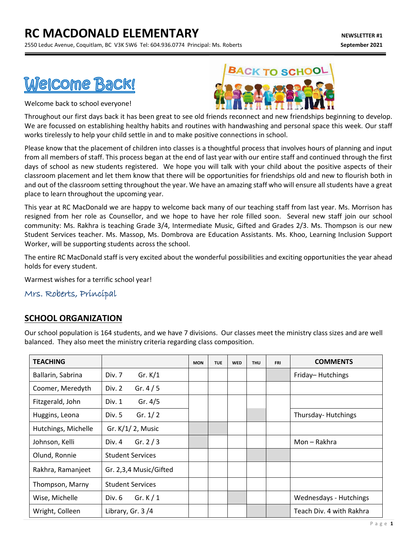# **RC MACDONALD ELEMENTARY** *NEWSLETTER #1*

2550 Leduc Avenue, Coquitlam, BC V3K 5W6 Tel: 604.936.0774 Principal: Ms. Roberts **September 2021**

# Welcome Back!

Welcome back to school everyone!



Throughout our first days back it has been great to see old friends reconnect and new friendships beginning to develop. We are focussed on establishing healthy habits and routines with handwashing and personal space this week. Our staff works tirelessly to help your child settle in and to make positive connections in school.

Please know that the placement of children into classes is a thoughtful process that involves hours of planning and input from all members of staff. This process began at the end of last year with our entire staff and continued through the first days of school as new students registered. We hope you will talk with your child about the positive aspects of their classroom placement and let them know that there will be opportunities for friendships old and new to flourish both in and out of the classroom setting throughout the year. We have an amazing staff who will ensure all students have a great place to learn throughout the upcoming year.

This year at RC MacDonald we are happy to welcome back many of our teaching staff from last year. Ms. Morrison has resigned from her role as Counsellor, and we hope to have her role filled soon. Several new staff join our school community: Ms. Rakhra is teaching Grade 3/4, Intermediate Music, Gifted and Grades 2/3. Ms. Thompson is our new Student Services teacher. Ms. Massop, Ms. Dombrova are Education Assistants. Ms. Khoo, Learning Inclusion Support Worker, will be supporting students across the school.

The entire RC MacDonald staff is very excited about the wonderful possibilities and exciting opportunities the year ahead holds for every student.

Warmest wishes for a terrific school year!

Mrs. Roberts, Principal

## **SCHOOL ORGANIZATION**

Our school population is 164 students, and we have 7 divisions. Our classes meet the ministry class sizes and are well balanced. They also meet the ministry criteria regarding class composition.

| <b>TEACHING</b>     |                         | <b>MON</b> | <b>TUE</b> | <b>WED</b> | <b>THU</b> | <b>FRI</b> | <b>COMMENTS</b>               |
|---------------------|-------------------------|------------|------------|------------|------------|------------|-------------------------------|
| Ballarin, Sabrina   | Gr. $K/1$<br>Div. 7     |            |            |            |            |            | Friday-Hutchings              |
| Coomer, Meredyth    | Gr. $4/5$<br>Div. 2     |            |            |            |            |            |                               |
| Fitzgerald, John    | Gr. $4/5$<br>Div. 1     |            |            |            |            |            |                               |
| Huggins, Leona      | Gr. $1/2$<br>Div. 5     |            |            |            |            |            | Thursday-Hutchings            |
| Hutchings, Michelle | Gr. $K/1/2$ , Music     |            |            |            |            |            |                               |
| Johnson, Kelli      | Gr. $2/3$<br>Div. 4     |            |            |            |            |            | Mon - Rakhra                  |
| Olund, Ronnie       | <b>Student Services</b> |            |            |            |            |            |                               |
| Rakhra, Ramanjeet   | Gr. 2,3,4 Music/Gifted  |            |            |            |            |            |                               |
| Thompson, Marny     | <b>Student Services</b> |            |            |            |            |            |                               |
| Wise, Michelle      | Gr. $K/1$<br>Div. 6     |            |            |            |            |            | <b>Wednesdays - Hutchings</b> |
| Wright, Colleen     | Library, Gr. $3/4$      |            |            |            |            |            | Teach Div. 4 with Rakhra      |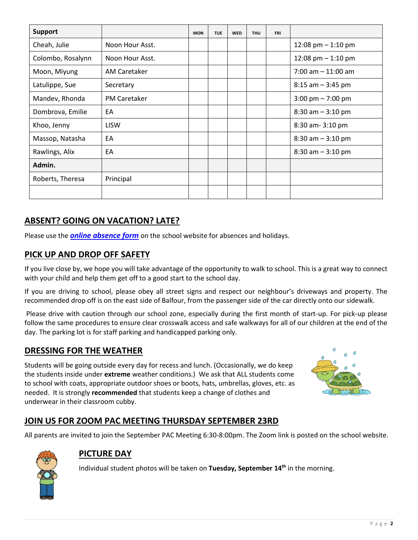| <b>Support</b>    |                     | <b>MON</b> | <b>TUE</b> | <b>WED</b> | <b>THU</b> | <b>FRI</b> |                                     |  |
|-------------------|---------------------|------------|------------|------------|------------|------------|-------------------------------------|--|
| Cheah, Julie      | Noon Hour Asst.     |            |            |            |            |            | 12:08 pm $-$ 1:10 pm                |  |
| Colombo, Rosalynn | Noon Hour Asst.     |            |            |            |            |            | 12:08 pm $-$ 1:10 pm                |  |
| Moon, Miyung      | <b>AM Caretaker</b> |            |            |            |            |            | $7:00$ am $-11:00$ am               |  |
| Latulippe, Sue    | Secretary           |            |            |            |            |            | $8:15$ am $-3:45$ pm                |  |
| Mandev, Rhonda    | <b>PM Caretaker</b> |            |            |            |            |            | $3:00 \text{ pm} - 7:00 \text{ pm}$ |  |
| Dombrova, Emilie  | EA                  |            |            |            |            |            | $8:30$ am $-3:10$ pm                |  |
| Khoo, Jenny       | <b>LISW</b>         |            |            |            |            |            | 8:30 am - 3:10 pm                   |  |
| Massop, Natasha   | EA                  |            |            |            |            |            | $8:30$ am $-3:10$ pm                |  |
| Rawlings, Alix    | EA                  |            |            |            |            |            | $8:30$ am $-3:10$ pm                |  |
| Admin.            |                     |            |            |            |            |            |                                     |  |
| Roberts, Theresa  | Principal           |            |            |            |            |            |                                     |  |
|                   |                     |            |            |            |            |            |                                     |  |

# **ABSENT? GOING ON VACATION? LATE?**

Please use the *[online absence form](https://www2016.sd43.bc.ca/eforms/_layouts/15/FormServer.aspx?XsnLocation=http://www2016.sd43.bc.ca/eforms/AbsenceReportForm/Forms/template.xsn&OpenIn=browser&SaveLocation=http://www2016.sd43.bc.ca/eforms/AbsenceReportForm&Source=http://www2016.sd43.bc.ca/eforms/AbsenceReportForm)* on the school website for absences and holidays.

#### **PICK UP AND DROP OFF SAFETY**

If you live close by, we hope you will take advantage of the opportunity to walk to school. This is a great way to connect with your child and help them get off to a good start to the school day.

If you are driving to school, please obey all street signs and respect our neighbour's driveways and property. The recommended drop off is on the east side of Balfour, from the passenger side of the car directly onto our sidewalk.

Please drive with caution through our school zone, especially during the first month of start-up. For pick-up please follow the same procedures to ensure clear crosswalk access and safe walkways for all of our children at the end of the day. The parking lot is for staff parking and handicapped parking only.

## **DRESSING FOR THE WEATHER**

Students will be going outside every day for recess and lunch. (Occasionally, we do keep the students inside under **extreme** weather conditions.) We ask that ALL students come to school with coats, appropriate outdoor shoes or boots, hats, umbrellas, gloves, etc. as needed. It is strongly **recommended** that students keep a change of clothes and underwear in their classroom cubby.



# **JOIN US FOR ZOOM PAC MEETING THURSDAY SEPTEMBER 23RD**

All parents are invited to join the September PAC Meeting 6:30-8:00pm. The Zoom link is posted on the school website.



#### **PICTURE DAY**

Individual student photos will be taken on **Tuesday, September 14th** in the morning.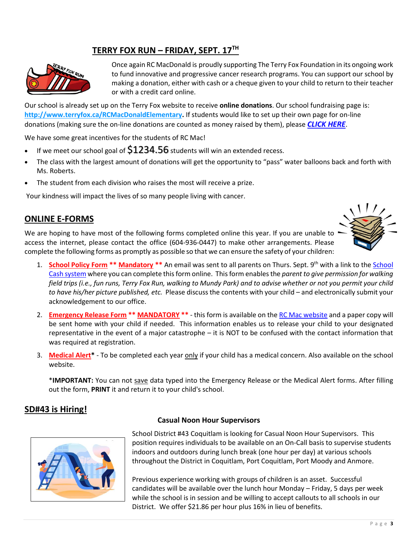# **TERRY FOX RUN – FRIDAY, SEPT. 17TH**



Once again RC MacDonald is proudly supporting The Terry Fox Foundation in its ongoing work to fund innovative and progressive cancer research programs. You can support our school by making a donation, either with cash or a cheque given to your child to return to their teacher or with a credit card online.

Our school is already set up on the Terry Fox website to receive **online donations**. Our school fundraising page is: **[http://www.terryfox.ca/RCMacDonaldElementary.](http://www.terryfox.ca/RCMacDonaldElementary)** If students would like to set up their own page for on-line donations (making sure the on-line donations are counted as money raised by them), please *[CLICK HERE](http://www.terryfox.org/schoolrun/students/?utm_source=BC+Schools+2017&utm_campaign=b318ed9763-BC+Schools+Register+reminder+3&utm_medium=email&utm_term=0_59f7863e25-b318ed9763-229861845#_start-here)*.

We have some great incentives for the students of RC Mac!

- If we meet our school goal of  $$1234.56$  students will win an extended recess.
- The class with the largest amount of donations will get the opportunity to "pass" water balloons back and forth with Ms. Roberts.
- The student from each division who raises the most will receive a prize.

Your kindness will impact the lives of so many people living with cancer.

#### **ONLINE E-FORMS**

We are hoping to have most of the following forms completed online this year. If you are unable to access the internet, please contact the office (604-936-0447) to make other arrangements. Please complete the following forms as promptly as possible so that we can ensure the safety of your children:



- 1. **School Policy Form \*\* Mandatory \*\*** An email was sent to all parents on Thurs. Sept. 9<sup>th</sup> with a link to the **School** [Cash system](https://sd43.schoolcashonline.com/) where you can complete this form online. This form enablesthe *parent to give permission for walking field trips (i.e., fun runs, Terry Fox Run, walking to Mundy Park) and to advise whether or not you permit your child to have his/her picture published, etc.* Please discussthe contents with your child – and electronically submit your acknowledgement to our office.
- 2. **Emergency Release Form \*\* MANDATORY \*\*** this form is available on the [RC Mac website](https://www.sd43.bc.ca/school/rcmacdonald/Parents/forms/Pages/default.aspx#/=) and a paper copy will be sent home with your child if needed. This information enables us to release your child to your designated representative in the event of a major catastrophe – it is NOT to be confused with the contact information that was required at registration.
- 3. **Medical Alert\*** To be completed each year only if your child has a medical concern. Also available on the school website.

\***IMPORTANT:** You can not save data typed into the Emergency Release or the Medical Alert forms. After filling out the form, **PRINT** it and return it to your child's school.

#### **SD#43 is Hiring!**



#### **Casual Noon Hour Supervisors**

School District #43 Coquitlam is looking for Casual Noon Hour Supervisors. This position requires individuals to be available on an On-Call basis to supervise students indoors and outdoors during lunch break (one hour per day) at various schools throughout the District in Coquitlam, Port Coquitlam, Port Moody and Anmore.

Previous experience working with groups of children is an asset. Successful candidates will be available over the lunch hour Monday – Friday, 5 days per week while the school is in session and be willing to accept callouts to all schools in our District. We offer \$21.86 per hour plus 16% in lieu of benefits.